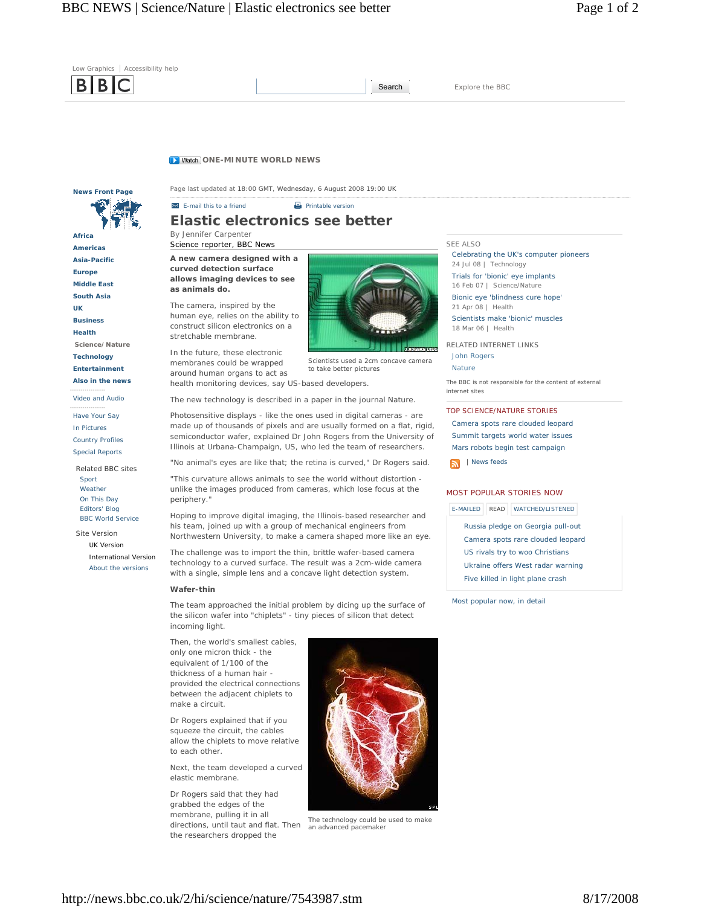

http://news.bbc.co.uk/2/hi/science/nature/7543987.stm 8/17/2008